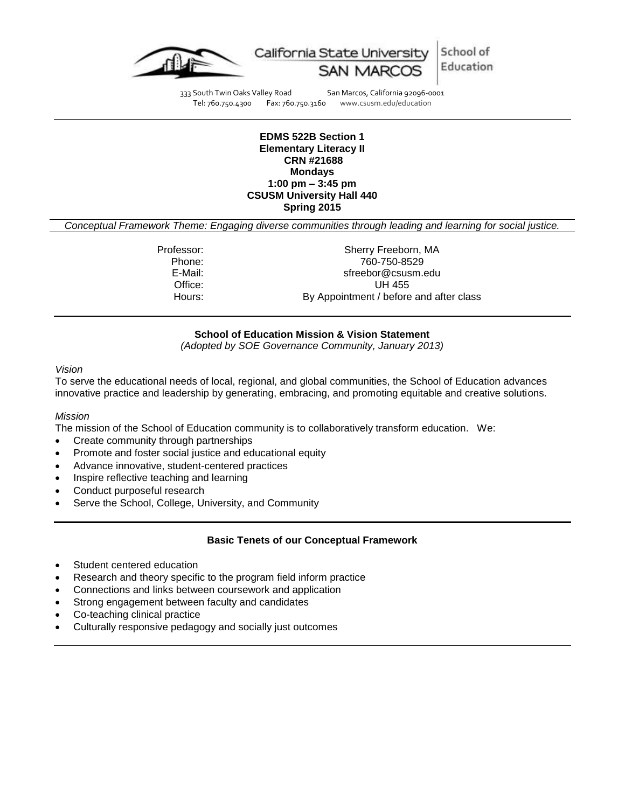



333 South Twin Oaks Valley Road San Marcos, California 92096-0001<br>Tel: 760.750.4300 Fax: 760.750.3160 www.csusm.edu/education Fax: 760.750.3160 www.csusm.edu/education

#### **EDMS 522B Section 1 Elementary Literacy II CRN #21688 Mondays 1:00 pm – 3:45 pm CSUSM University Hall 440 Spring 2015**

*Conceptual Framework Theme: Engaging diverse communities through leading and learning for social justice.*

Professor: Sherry Freeborn, MA Phone: 760-750-8529 E-Mail: sfreebor@csusm.edu Office: UH 455 Hours: By Appointment / before and after class

### **School of Education Mission & Vision Statement**

*(Adopted by SOE Governance Community, January 2013)*

#### *Vision*

To serve the educational needs of local, regional, and global communities, the School of Education advances innovative practice and leadership by generating, embracing, and promoting equitable and creative solutions.

### *Mission*

The mission of the School of Education community is to collaboratively transform education. We:

- Create community through partnerships
- Promote and foster social justice and educational equity
- Advance innovative, student-centered practices
- Inspire reflective teaching and learning
- Conduct purposeful research
- Serve the School, College, University, and Community

### **Basic Tenets of our Conceptual Framework**

- Student centered education
- Research and theory specific to the program field inform practice
- Connections and links between coursework and application
- Strong engagement between faculty and candidates
- Co-teaching clinical practice
- Culturally responsive pedagogy and socially just outcomes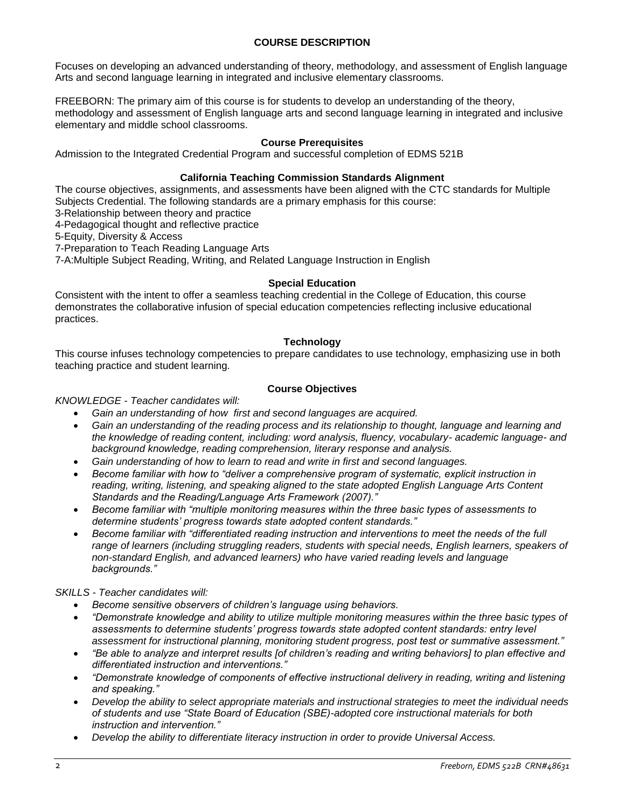## **COURSE DESCRIPTION**

Focuses on developing an advanced understanding of theory, methodology, and assessment of English language Arts and second language learning in integrated and inclusive elementary classrooms.

FREEBORN: The primary aim of this course is for students to develop an understanding of the theory, methodology and assessment of English language arts and second language learning in integrated and inclusive elementary and middle school classrooms.

## **Course Prerequisites**

Admission to the Integrated Credential Program and successful completion of EDMS 521B

### **California Teaching Commission Standards Alignment**

The course objectives, assignments, and assessments have been aligned with the CTC standards for Multiple Subjects Credential. The following standards are a primary emphasis for this course:

3-Relationship between theory and practice

4-Pedagogical thought and reflective practice

5-Equity, Diversity & Access

7-Preparation to Teach Reading Language Arts

7-A:Multiple Subject Reading, Writing, and Related Language Instruction in English

### **Special Education**

Consistent with the intent to offer a seamless teaching credential in the College of Education, this course demonstrates the collaborative infusion of special education competencies reflecting inclusive educational practices.

### **Technology**

This course infuses technology competencies to prepare candidates to use technology, emphasizing use in both teaching practice and student learning.

### **Course Objectives**

### *KNOWLEDGE - Teacher candidates will:*

- *Gain an understanding of how first and second languages are acquired.*
- *Gain an understanding of the reading process and its relationship to thought, language and learning and the knowledge of reading content, including: word analysis, fluency, vocabulary- academic language- and background knowledge, reading comprehension, literary response and analysis.*
- *Gain understanding of how to learn to read and write in first and second languages.*
- *Become familiar with how to "deliver a comprehensive program of systematic, explicit instruction in reading, writing, listening, and speaking aligned to the state adopted English Language Arts Content Standards and the Reading/Language Arts Framework (2007)."*
- *Become familiar with "multiple monitoring measures within the three basic types of assessments to determine students' progress towards state adopted content standards."*
- *Become familiar with "differentiated reading instruction and interventions to meet the needs of the full*  range of learners (including struggling readers, students with special needs, English learners, speakers of *non-standard English, and advanced learners) who have varied reading levels and language backgrounds."*

### *SKILLS - Teacher candidates will:*

- *Become sensitive observers of children's language using behaviors.*
- *"Demonstrate knowledge and ability to utilize multiple monitoring measures within the three basic types of assessments to determine students' progress towards state adopted content standards: entry level assessment for instructional planning, monitoring student progress, post test or summative assessment."*
- *"Be able to analyze and interpret results [of children's reading and writing behaviors] to plan effective and differentiated instruction and interventions."*
- *"Demonstrate knowledge of components of effective instructional delivery in reading, writing and listening and speaking."*
- *Develop the ability to select appropriate materials and instructional strategies to meet the individual needs of students and use "State Board of Education (SBE)-adopted core instructional materials for both instruction and intervention."*
- *Develop the ability to differentiate literacy instruction in order to provide Universal Access.*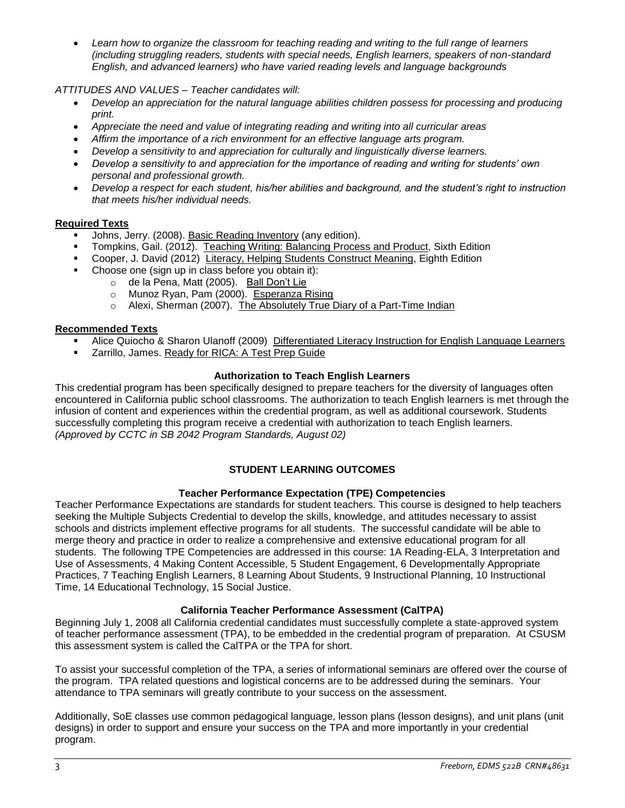*Learn how to organize the classroom for teaching reading and writing to the full range of learners (including struggling readers, students with special needs, English learners, speakers of non-standard English, and advanced learners) who have varied reading levels and language backgrounds*

# *ATTITUDES AND VALUES – Teacher candidates will:*

- *Develop an appreciation for the natural language abilities children possess for processing and producing print.*
- *Appreciate the need and value of integrating reading and writing into all curricular areas*
- *Affirm the importance of a rich environment for an effective language arts program.*
- *Develop a sensitivity to and appreciation for culturally and linguistically diverse learners.*
- *Develop a sensitivity to and appreciation for the importance of reading and writing for students' own personal and professional growth.*
- *Develop a respect for each student, his/her abilities and background, and the student's right to instruction that meets his/her individual needs.*

# **Required Texts**

- Johns, Jerry. (2008). Basic Reading Inventory (any edition).
- Tompkins, Gail. (2012). Teaching Writing: Balancing Process and Product, Sixth Edition
- Cooper, J. David (2012) Literacy, Helping Students Construct Meaning, Eighth Edition
- Choose one (sign up in class before you obtain it):
	- o de la Pena, Matt (2005). Ball Don't Lie
	- o Munoz Ryan, Pam (2000). Esperanza Rising
	- o Alexi, Sherman (2007). The Absolutely True Diary of a Part-Time Indian

# **Recommended Texts**

- Alice Quiocho & Sharon Ulanoff (2009) Differentiated Literacy Instruction for English Language Learners
- **EXECUTE:** Zarrillo, James. Ready for RICA: A Test Prep Guide

# **Authorization to Teach English Learners**

This credential program has been specifically designed to prepare teachers for the diversity of languages often encountered in California public school classrooms. The authorization to teach English learners is met through the infusion of content and experiences within the credential program, as well as additional coursework. Students successfully completing this program receive a credential with authorization to teach English learners. *(Approved by CCTC in SB 2042 Program Standards, August 02)*

# **STUDENT LEARNING OUTCOMES**

# **Teacher Performance Expectation (TPE) Competencies**

Teacher Performance Expectations are standards for student teachers. This course is designed to help teachers seeking the Multiple Subjects Credential to develop the skills, knowledge, and attitudes necessary to assist schools and districts implement effective programs for all students. The successful candidate will be able to merge theory and practice in order to realize a comprehensive and extensive educational program for all students. The following TPE Competencies are addressed in this course: 1A Reading-ELA, 3 Interpretation and Use of Assessments, 4 Making Content Accessible, 5 Student Engagement, 6 Developmentally Appropriate Practices, 7 Teaching English Learners, 8 Learning About Students, 9 Instructional Planning, 10 Instructional Time, 14 Educational Technology, 15 Social Justice.

# **California Teacher Performance Assessment (CalTPA)**

Beginning July 1, 2008 all California credential candidates must successfully complete a state-approved system of teacher performance assessment (TPA), to be embedded in the credential program of preparation. At CSUSM this assessment system is called the CalTPA or the TPA for short.

To assist your successful completion of the TPA, a series of informational seminars are offered over the course of the program. TPA related questions and logistical concerns are to be addressed during the seminars. Your attendance to TPA seminars will greatly contribute to your success on the assessment.

Additionally, SoE classes use common pedagogical language, lesson plans (lesson designs), and unit plans (unit designs) in order to support and ensure your success on the TPA and more importantly in your credential program.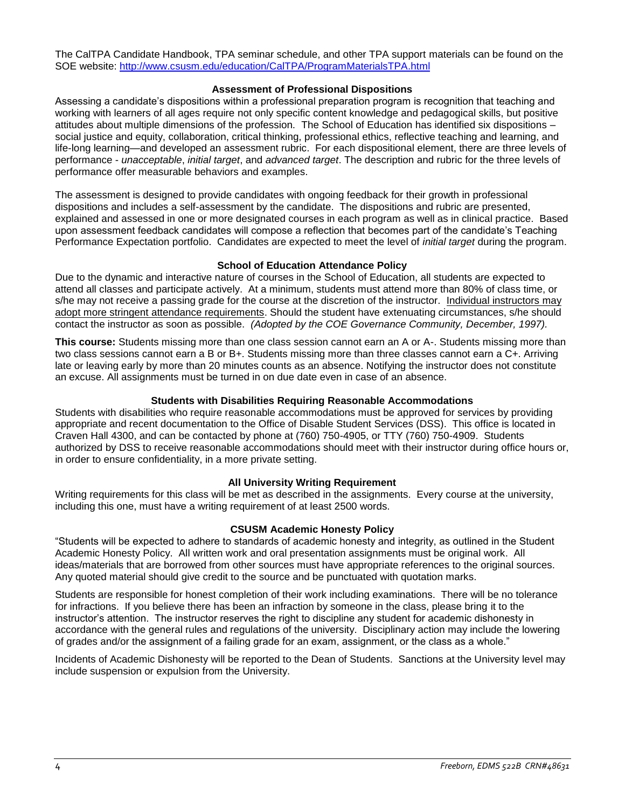The CalTPA Candidate Handbook, TPA seminar schedule, and other TPA support materials can be found on the SOE website:<http://www.csusm.edu/education/CalTPA/ProgramMaterialsTPA.html>

### **Assessment of Professional Dispositions**

Assessing a candidate's dispositions within a professional preparation program is recognition that teaching and working with learners of all ages require not only specific content knowledge and pedagogical skills, but positive attitudes about multiple dimensions of the profession. The School of Education has identified six dispositions – social justice and equity, collaboration, critical thinking, professional ethics, reflective teaching and learning, and life-long learning—and developed an assessment rubric. For each dispositional element, there are three levels of performance - *unacceptable*, *initial target*, and *advanced target*. The description and rubric for the three levels of performance offer measurable behaviors and examples.

The assessment is designed to provide candidates with ongoing feedback for their growth in professional dispositions and includes a self-assessment by the candidate. The dispositions and rubric are presented, explained and assessed in one or more designated courses in each program as well as in clinical practice. Based upon assessment feedback candidates will compose a reflection that becomes part of the candidate's Teaching Performance Expectation portfolio. Candidates are expected to meet the level of *initial target* during the program.

### **School of Education Attendance Policy**

Due to the dynamic and interactive nature of courses in the School of Education, all students are expected to attend all classes and participate actively. At a minimum, students must attend more than 80% of class time, or s/he may not receive a passing grade for the course at the discretion of the instructor. Individual instructors may adopt more stringent attendance requirements. Should the student have extenuating circumstances, s/he should contact the instructor as soon as possible. *(Adopted by the COE Governance Community, December, 1997).*

**This course:** Students missing more than one class session cannot earn an A or A-. Students missing more than two class sessions cannot earn a B or B+. Students missing more than three classes cannot earn a C+. Arriving late or leaving early by more than 20 minutes counts as an absence. Notifying the instructor does not constitute an excuse. All assignments must be turned in on due date even in case of an absence.

# **Students with Disabilities Requiring Reasonable Accommodations**

Students with disabilities who require reasonable accommodations must be approved for services by providing appropriate and recent documentation to the Office of Disable Student Services (DSS). This office is located in Craven Hall 4300, and can be contacted by phone at (760) 750-4905, or TTY (760) 750-4909. Students authorized by DSS to receive reasonable accommodations should meet with their instructor during office hours or, in order to ensure confidentiality, in a more private setting.

# **All University Writing Requirement**

Writing requirements for this class will be met as described in the assignments. Every course at the university, including this one, must have a writing requirement of at least 2500 words.

### **CSUSM Academic Honesty Policy**

"Students will be expected to adhere to standards of academic honesty and integrity, as outlined in the Student Academic Honesty Policy. All written work and oral presentation assignments must be original work. All ideas/materials that are borrowed from other sources must have appropriate references to the original sources. Any quoted material should give credit to the source and be punctuated with quotation marks.

Students are responsible for honest completion of their work including examinations. There will be no tolerance for infractions. If you believe there has been an infraction by someone in the class, please bring it to the instructor's attention. The instructor reserves the right to discipline any student for academic dishonesty in accordance with the general rules and regulations of the university. Disciplinary action may include the lowering of grades and/or the assignment of a failing grade for an exam, assignment, or the class as a whole."

Incidents of Academic Dishonesty will be reported to the Dean of Students. Sanctions at the University level may include suspension or expulsion from the University.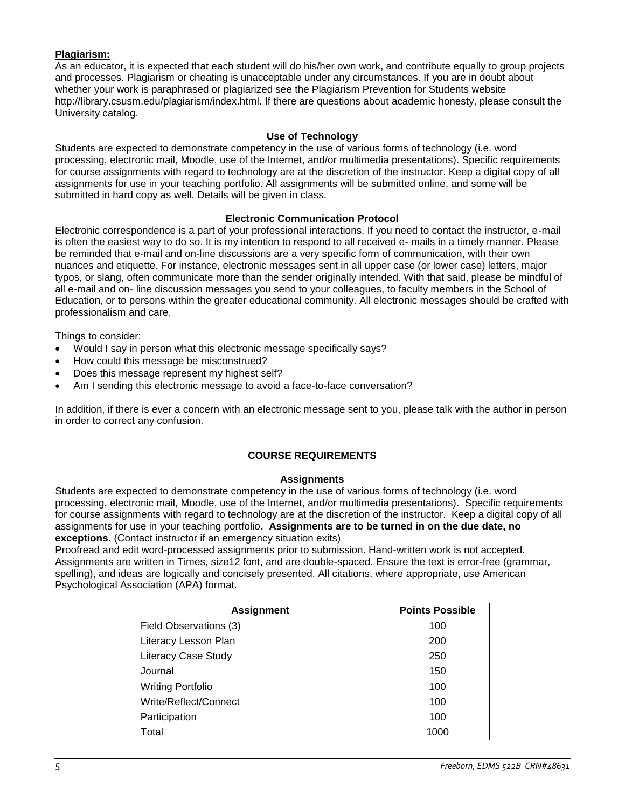# **Plagiarism:**

As an educator, it is expected that each student will do his/her own work, and contribute equally to group projects and processes. Plagiarism or cheating is unacceptable under any circumstances. If you are in doubt about whether your work is paraphrased or plagiarized see the Plagiarism Prevention for Students website http://library.csusm.edu/plagiarism/index.html. If there are questions about academic honesty, please consult the University catalog.

### **Use of Technology**

Students are expected to demonstrate competency in the use of various forms of technology (i.e. word processing, electronic mail, Moodle, use of the Internet, and/or multimedia presentations). Specific requirements for course assignments with regard to technology are at the discretion of the instructor. Keep a digital copy of all assignments for use in your teaching portfolio. All assignments will be submitted online, and some will be submitted in hard copy as well. Details will be given in class.

### **Electronic Communication Protocol**

Electronic correspondence is a part of your professional interactions. If you need to contact the instructor, e-mail is often the easiest way to do so. It is my intention to respond to all received e- mails in a timely manner. Please be reminded that e-mail and on-line discussions are a very specific form of communication, with their own nuances and etiquette. For instance, electronic messages sent in all upper case (or lower case) letters, major typos, or slang, often communicate more than the sender originally intended. With that said, please be mindful of all e-mail and on- line discussion messages you send to your colleagues, to faculty members in the School of Education, or to persons within the greater educational community. All electronic messages should be crafted with professionalism and care.

Things to consider:

- Would I say in person what this electronic message specifically says?
- How could this message be misconstrued?
- Does this message represent my highest self?
- Am I sending this electronic message to avoid a face-to-face conversation?

In addition, if there is ever a concern with an electronic message sent to you, please talk with the author in person in order to correct any confusion.

# **COURSE REQUIREMENTS**

### **Assignments**

Students are expected to demonstrate competency in the use of various forms of technology (i.e. word processing, electronic mail, Moodle, use of the Internet, and/or multimedia presentations). Specific requirements for course assignments with regard to technology are at the discretion of the instructor. Keep a digital copy of all assignments for use in your teaching portfolio**. Assignments are to be turned in on the due date, no exceptions.** (Contact instructor if an emergency situation exits)

Proofread and edit word-processed assignments prior to submission. Hand-written work is not accepted. Assignments are written in Times, size12 font, and are double-spaced. Ensure the text is error-free (grammar, spelling), and ideas are logically and concisely presented. All citations, where appropriate, use American Psychological Association (APA) format.

| <b>Assignment</b>          | <b>Points Possible</b> |
|----------------------------|------------------------|
| Field Observations (3)     | 100                    |
| Literacy Lesson Plan       | 200                    |
| <b>Literacy Case Study</b> | 250                    |
| Journal                    | 150                    |
| <b>Writing Portfolio</b>   | 100                    |
| Write/Reflect/Connect      | 100                    |
| Participation              | 100                    |
| Total                      | 1000                   |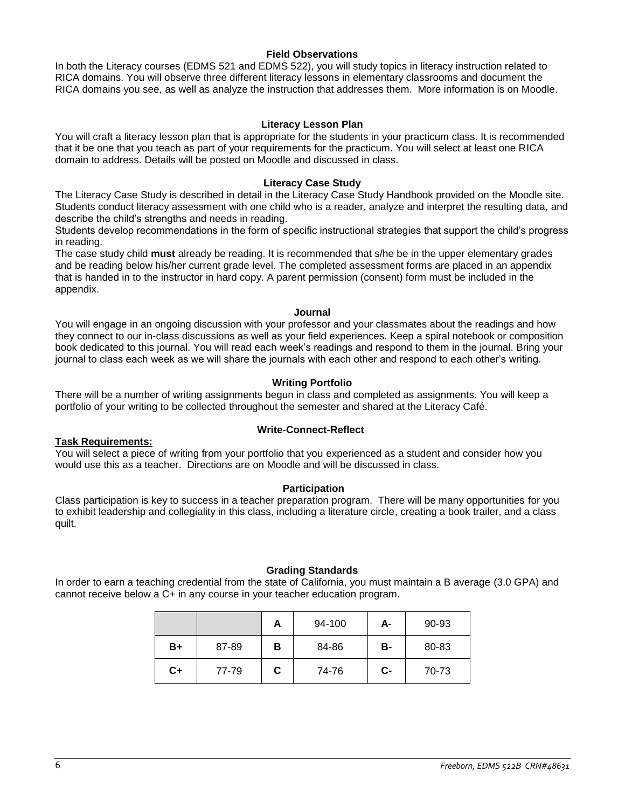### **Field Observations**

In both the Literacy courses (EDMS 521 and EDMS 522), you will study topics in literacy instruction related to RICA domains. You will observe three different literacy lessons in elementary classrooms and document the RICA domains you see, as well as analyze the instruction that addresses them. More information is on Moodle.

### **Literacy Lesson Plan**

You will craft a literacy lesson plan that is appropriate for the students in your practicum class. It is recommended that it be one that you teach as part of your requirements for the practicum. You will select at least one RICA domain to address. Details will be posted on Moodle and discussed in class.

#### **Literacy Case Study**

The Literacy Case Study is described in detail in the Literacy Case Study Handbook provided on the Moodle site. Students conduct literacy assessment with one child who is a reader, analyze and interpret the resulting data, and describe the child's strengths and needs in reading.

Students develop recommendations in the form of specific instructional strategies that support the child's progress in reading.

The case study child **must** already be reading. It is recommended that s/he be in the upper elementary grades and be reading below his/her current grade level. The completed assessment forms are placed in an appendix that is handed in to the instructor in hard copy. A parent permission (consent) form must be included in the appendix.

#### **Journal**

You will engage in an ongoing discussion with your professor and your classmates about the readings and how they connect to our in-class discussions as well as your field experiences. Keep a spiral notebook or composition book dedicated to this journal. You will read each week's readings and respond to them in the journal. Bring your journal to class each week as we will share the journals with each other and respond to each other's writing.

#### **Writing Portfolio**

There will be a number of writing assignments begun in class and completed as assignments. You will keep a portfolio of your writing to be collected throughout the semester and shared at the Literacy Café.

### **Task Requirements:**

### **Write-Connect-Reflect**

You will select a piece of writing from your portfolio that you experienced as a student and consider how you would use this as a teacher. Directions are on Moodle and will be discussed in class.

### **Participation**

Class participation is key to success in a teacher preparation program. There will be many opportunities for you to exhibit leadership and collegiality in this class, including a literature circle, creating a book trailer, and a class quilt.

### **Grading Standards**

In order to earn a teaching credential from the state of California, you must maintain a B average (3.0 GPA) and cannot receive below a C+ in any course in your teacher education program.

|    |       | A | 94-100 | A- | 90-93 |
|----|-------|---|--------|----|-------|
| B+ | 87-89 | в | 84-86  | В- | 80-83 |
| C+ | 77-79 | C | 74-76  | C- | 70-73 |